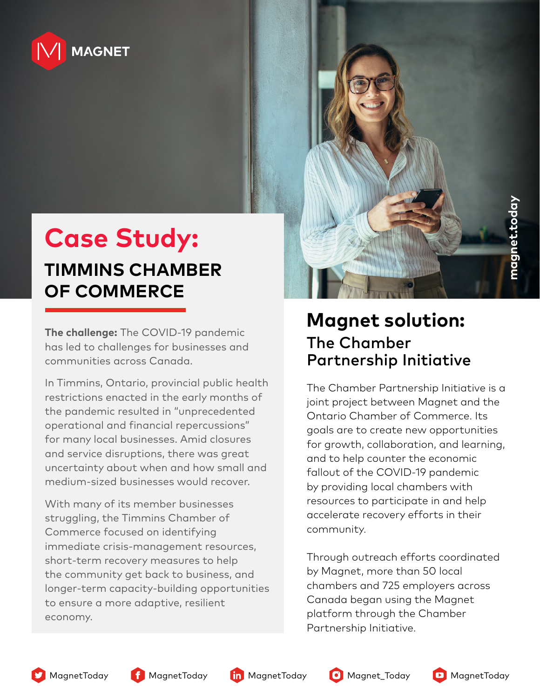

# **Case Study:**

#### **TIMMINS CHAMBER OF COMMERCE**

**The challenge:** The COVID-19 pandemic has led to challenges for businesses and communities across Canada.

In Timmins, Ontario, provincial public health restrictions enacted in the early months of the pandemic resulted in "unprecedented operational and financial repercussions" for many local businesses. Amid closures and service disruptions, there was great uncertainty about when and how small and medium-sized businesses would recover.

With many of its member businesses struggling, the Timmins Chamber of Commerce focused on identifying immediate crisis-management resources, short-term recovery measures to help the community get back to business, and longer-term capacity-building opportunities to ensure a more adaptive, resilient economy.



#### **Magnet solution:**  The Chamber Partnership Initiative

The Chamber Partnership Initiative is a joint project between Magnet and the Ontario Chamber of Commerce. Its goals are to create new opportunities for growth, collaboration, and learning, and to help counter the economic fallout of the COVID-19 pandemic by providing local chambers with resources to participate in and help accelerate recovery efforts in their community.

Through outreach efforts coordinated by Magnet, more than 50 local chambers and 725 employers across Canada began using the Magnet platform through the Chamber Partnership Initiative.